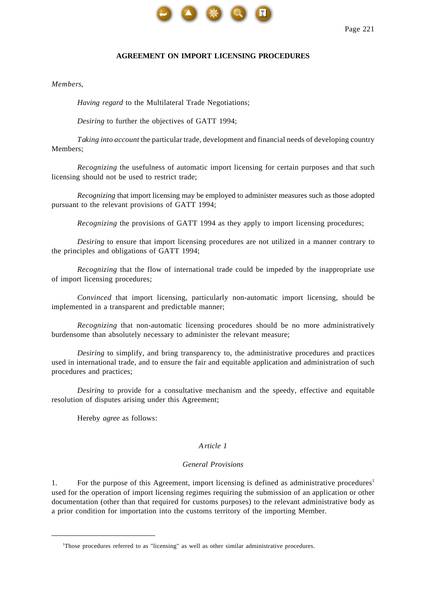#### **AGREEMENT ON IMPORT LICENSING PROCEDURES**

*Members,*

*Having regard* to the Multilateral Trade Negotiations;

*Desiring* to further the objectives of GATT 1994;

*Taking into account* the particular trade, development and financial needs of developing country Members;

*Recognizing* the usefulness of automatic import licensing for certain purposes and that such licensing should not be used to restrict trade;

*Recognizing* that import licensing may be employed to administer measures such as those adopted pursuant to the relevant provisions of GATT 1994;

*Recognizing* the provisions of GATT 1994 as they apply to import licensing procedures;

*Desiring* to ensure that import licensing procedures are not utilized in a manner contrary to the principles and obligations of GATT 1994;

*Recognizing* that the flow of international trade could be impeded by the inappropriate use of import licensing procedures;

*Convinced* that import licensing, particularly non-automatic import licensing, should be implemented in a transparent and predictable manner;

*Recognizing* that non-automatic licensing procedures should be no more administratively burdensome than absolutely necessary to administer the relevant measure;

*Desiring* to simplify, and bring transparency to, the administrative procedures and practices used in international trade, and to ensure the fair and equitable application and administration of such procedures and practices;

*Desiring* to provide for a consultative mechanism and the speedy, effective and equitable resolution of disputes arising under this Agreement;

Hereby *agree* as follows:

 $\overline{a}$ 

#### *Article 1*

#### *General Provisions*

1. For the purpose of this Agreement, import licensing is defined as administrative procedures<sup>1</sup> used for the operation of import licensing regimes requiring the submission of an application or other documentation (other than that required for customs purposes) to the relevant administrative body as a prior condition for importation into the customs territory of the importing Member.

<sup>1</sup>Those procedures referred to as "licensing" as well as other similar administrative procedures.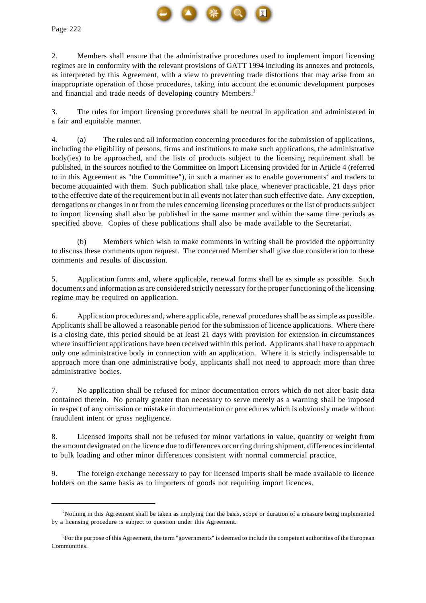2. Members shall ensure that the administrative procedures used to implement import licensing regimes are in conformity with the relevant provisions of GATT 1994 including its annexes and protocols, as interpreted by this Agreement, with a view to preventing trade distortions that may arise from an inappropriate operation of those procedures, taking into account the economic development purposes and financial and trade needs of developing country Members.<sup>2</sup>

3. The rules for import licensing procedures shall be neutral in application and administered in a fair and equitable manner.

4. (a) The rules and all information concerning procedures for the submission of applications, including the eligibility of persons, firms and institutions to make such applications, the administrative body(ies) to be approached, and the lists of products subject to the licensing requirement shall be published, in the sources notified to the Committee on Import Licensing provided for in Article 4 (referred to in this Agreement as "the Committee"), in such a manner as to enable governments<sup>3</sup> and traders to become acquainted with them. Such publication shall take place, whenever practicable, 21 days prior to the effective date of the requirement but in all events not later than such effective date. Any exception, derogations or changes in or from the rules concerning licensing procedures or the list of products subject to import licensing shall also be published in the same manner and within the same time periods as specified above. Copies of these publications shall also be made available to the Secretariat.

(b) Members which wish to make comments in writing shall be provided the opportunity to discuss these comments upon request. The concerned Member shall give due consideration to these comments and results of discussion.

5. Application forms and, where applicable, renewal forms shall be as simple as possible. Such documents and information as are considered strictly necessary for the proper functioning of the licensing regime may be required on application.

6. Application procedures and, where applicable, renewal procedures shall be as simple as possible. Applicants shall be allowed a reasonable period for the submission of licence applications. Where there is a closing date, this period should be at least 21 days with provision for extension in circumstances where insufficient applications have been received within this period. Applicants shall have to approach only one administrative body in connection with an application. Where it is strictly indispensable to approach more than one administrative body, applicants shall not need to approach more than three administrative bodies.

7. No application shall be refused for minor documentation errors which do not alter basic data contained therein. No penalty greater than necessary to serve merely as a warning shall be imposed in respect of any omission or mistake in documentation or procedures which is obviously made without fraudulent intent or gross negligence.

8. Licensed imports shall not be refused for minor variations in value, quantity or weight from the amount designated on the licence due to differences occurring during shipment, differences incidental to bulk loading and other minor differences consistent with normal commercial practice.

9. The foreign exchange necessary to pay for licensed imports shall be made available to licence holders on the same basis as to importers of goods not requiring import licences.

 $\overline{a}$ 

<sup>2</sup>Nothing in this Agreement shall be taken as implying that the basis, scope or duration of a measure being implemented by a licensing procedure is subject to question under this Agreement.

<sup>3</sup>For the purpose of this Agreement, the term "governments" is deemed to include the competent authorities of the European Communities.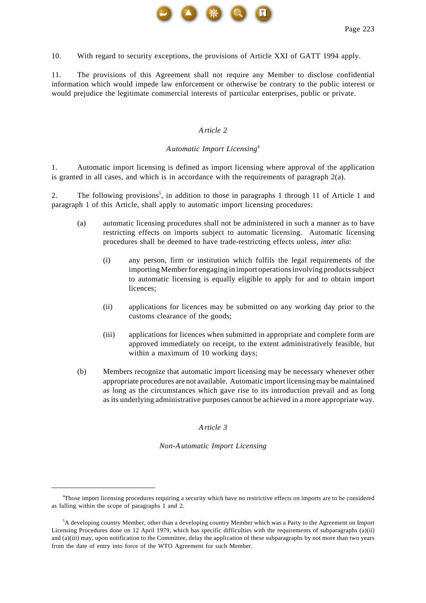10. With regard to security exceptions, the provisions of Article XXI of GATT 1994 apply.

11. The provisions of this Agreement shall not require any Member to disclose confidential information which would impede law enforcement or otherwise be contrary to the public interest or would prejudice the legitimate commercial interests of particular enterprises, public or private.

# *Article 2*

# *Automatic Import Licensing*<sup>4</sup>

1. Automatic import licensing is defined as import licensing where approval of the application is granted in all cases, and which is in accordance with the requirements of paragraph  $2(a)$ .

2. The following provisions<sup>5</sup>, in addition to those in paragraphs 1 through 11 of Article 1 and paragraph 1 of this Article, shall apply to automatic import licensing procedures:

- (a) automatic licensing procedures shall not be administered in such a manner as to have restricting effects on imports subject to automatic licensing. Automatic licensing procedures shall be deemed to have trade-restricting effects unless, *inter alia*:
	- (i) any person, firm or institution which fulfils the legal requirements of the importing Member for engaging in import operations involving products subject to automatic licensing is equally eligible to apply for and to obtain import licences;
	- (ii) applications for licences may be submitted on any working day prior to the customs clearance of the goods;
	- (iii) applications for licences when submitted in appropriate and complete form are approved immediately on receipt, to the extent administratively feasible, but within a maximum of 10 working days;
- (b) Members recognize that automatic import licensing may be necessary whenever other appropriate procedures are not available. Automatic import licensing may be maintained as long as the circumstances which gave rise to its introduction prevail and as long as its underlying administrative purposes cannot be achieved in a more appropriate way.

#### *Article 3*

#### *Non-Automatic Import Licensing*

 $\overline{a}$ 

<sup>4</sup>Those import licensing procedures requiring a security which have no restrictive effects on imports are to be considered as falling within the scope of paragraphs 1 and 2.

<sup>5</sup>A developing country Member, other than a developing country Member which was a Party to the Agreement on Import Licensing Procedures done on 12 April 1979, which has specific difficulties with the requirements of subparagraphs (a)(ii) and (a)(iii) may, upon notification to the Committee, delay the application of these subparagraphs by not more than two years from the date of entry into force of the WTO Agreement for such Member.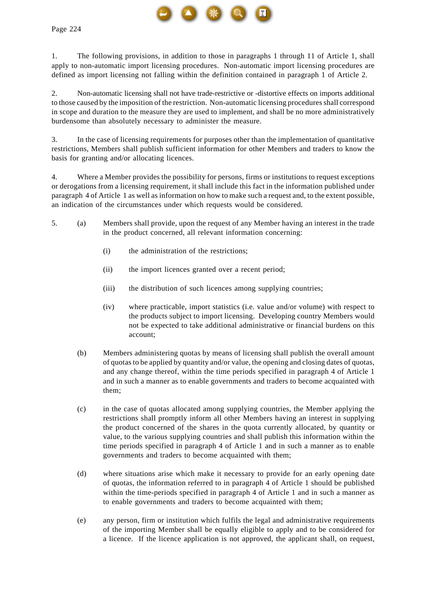1. The following provisions, in addition to those in paragraphs 1 through 11 of Article 1, shall apply to non-automatic import licensing procedures. Non-automatic import licensing procedures are defined as import licensing not falling within the definition contained in paragraph 1 of Article 2.

2. Non-automatic licensing shall not have trade-restrictive or -distortive effects on imports additional to those caused by the imposition of the restriction. Non-automatic licensing procedures shall correspond in scope and duration to the measure they are used to implement, and shall be no more administratively burdensome than absolutely necessary to administer the measure.

3. In the case of licensing requirements for purposes other than the implementation of quantitative restrictions, Members shall publish sufficient information for other Members and traders to know the basis for granting and/or allocating licences.

4. Where a Member provides the possibility for persons, firms or institutions to request exceptions or derogations from a licensing requirement, it shall include this fact in the information published under paragraph 4 of Article 1 as well as information on how to make such a request and, to the extent possible, an indication of the circumstances under which requests would be considered.

- 5. (a) Members shall provide, upon the request of any Member having an interest in the trade in the product concerned, all relevant information concerning:
	- (i) the administration of the restrictions;
	- (ii) the import licences granted over a recent period;
	- (iii) the distribution of such licences among supplying countries;
	- (iv) where practicable, import statistics (i.e. value and/or volume) with respect to the products subject to import licensing. Developing country Members would not be expected to take additional administrative or financial burdens on this account;
	- (b) Members administering quotas by means of licensing shall publish the overall amount of quotas to be applied by quantity and/or value, the opening and closing dates of quotas, and any change thereof, within the time periods specified in paragraph 4 of Article 1 and in such a manner as to enable governments and traders to become acquainted with them;
	- (c) in the case of quotas allocated among supplying countries, the Member applying the restrictions shall promptly inform all other Members having an interest in supplying the product concerned of the shares in the quota currently allocated, by quantity or value, to the various supplying countries and shall publish this information within the time periods specified in paragraph 4 of Article 1 and in such a manner as to enable governments and traders to become acquainted with them;
	- (d) where situations arise which make it necessary to provide for an early opening date of quotas, the information referred to in paragraph 4 of Article 1 should be published within the time-periods specified in paragraph 4 of Article 1 and in such a manner as to enable governments and traders to become acquainted with them;
	- (e) any person, firm or institution which fulfils the legal and administrative requirements of the importing Member shall be equally eligible to apply and to be considered for a licence. If the licence application is not approved, the applicant shall, on request,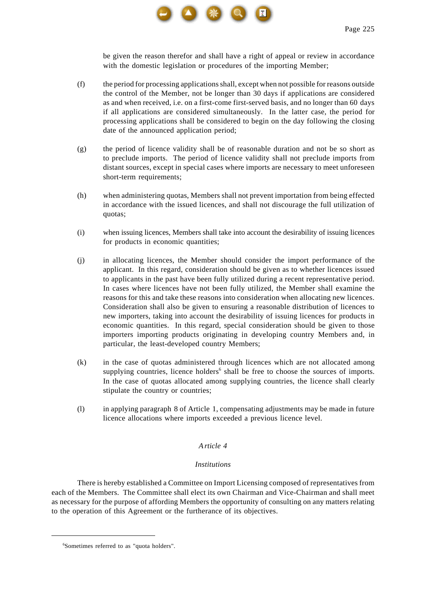be given the reason therefor and shall have a right of appeal or review in accordance with the domestic legislation or procedures of the importing Member;

- (f) the period for processing applications shall, except when not possible for reasons outside the control of the Member, not be longer than 30 days if applications are considered as and when received, i.e. on a first-come first-served basis, and no longer than 60 days if all applications are considered simultaneously. In the latter case, the period for processing applications shall be considered to begin on the day following the closing date of the announced application period;
- (g) the period of licence validity shall be of reasonable duration and not be so short as to preclude imports. The period of licence validity shall not preclude imports from distant sources, except in special cases where imports are necessary to meet unforeseen short-term requirements;
- (h) when administering quotas, Members shall not prevent importation from being effected in accordance with the issued licences, and shall not discourage the full utilization of quotas;
- (i) when issuing licences, Members shall take into account the desirability of issuing licences for products in economic quantities;
- (j) in allocating licences, the Member should consider the import performance of the applicant. In this regard, consideration should be given as to whether licences issued to applicants in the past have been fully utilized during a recent representative period. In cases where licences have not been fully utilized, the Member shall examine the reasons for this and take these reasons into consideration when allocating new licences. Consideration shall also be given to ensuring a reasonable distribution of licences to new importers, taking into account the desirability of issuing licences for products in economic quantities. In this regard, special consideration should be given to those importers importing products originating in developing country Members and, in particular, the least-developed country Members;
- (k) in the case of quotas administered through licences which are not allocated among supplying countries, licence holders<sup>6</sup> shall be free to choose the sources of imports. In the case of quotas allocated among supplying countries, the licence shall clearly stipulate the country or countries;
- (l) in applying paragraph 8 of Article 1, compensating adjustments may be made in future licence allocations where imports exceeded a previous licence level.

# *Article 4*

#### *Institutions*

There is hereby established a Committee on Import Licensing composed of representatives from each of the Members. The Committee shall elect its own Chairman and Vice-Chairman and shall meet as necessary for the purpose of affording Members the opportunity of consulting on any matters relating to the operation of this Agreement or the furtherance of its objectives.

 $\overline{a}$ 

<sup>6</sup>Sometimes referred to as "quota holders".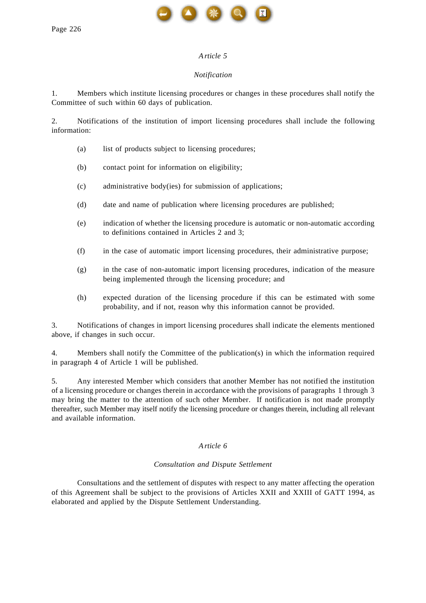# *Article 5*

#### *Notification*

1. Members which institute licensing procedures or changes in these procedures shall notify the Committee of such within 60 days of publication.

2. Notifications of the institution of import licensing procedures shall include the following information:

- (a) list of products subject to licensing procedures;
- (b) contact point for information on eligibility;
- (c) administrative body(ies) for submission of applications;
- (d) date and name of publication where licensing procedures are published;
- (e) indication of whether the licensing procedure is automatic or non-automatic according to definitions contained in Articles 2 and 3;
- (f) in the case of automatic import licensing procedures, their administrative purpose;
- (g) in the case of non-automatic import licensing procedures, indication of the measure being implemented through the licensing procedure; and
- (h) expected duration of the licensing procedure if this can be estimated with some probability, and if not, reason why this information cannot be provided.

3. Notifications of changes in import licensing procedures shall indicate the elements mentioned above, if changes in such occur.

4. Members shall notify the Committee of the publication(s) in which the information required in paragraph 4 of Article 1 will be published.

5. Any interested Member which considers that another Member has not notified the institution of a licensing procedure or changes therein in accordance with the provisions of paragraphs 1 through 3 may bring the matter to the attention of such other Member. If notification is not made promptly thereafter, such Member may itself notify the licensing procedure or changes therein, including all relevant and available information.

# *Article 6*

# *Consultation and Dispute Settlement*

Consultations and the settlement of disputes with respect to any matter affecting the operation of this Agreement shall be subject to the provisions of Articles XXII and XXIII of GATT 1994, as elaborated and applied by the Dispute Settlement Understanding.